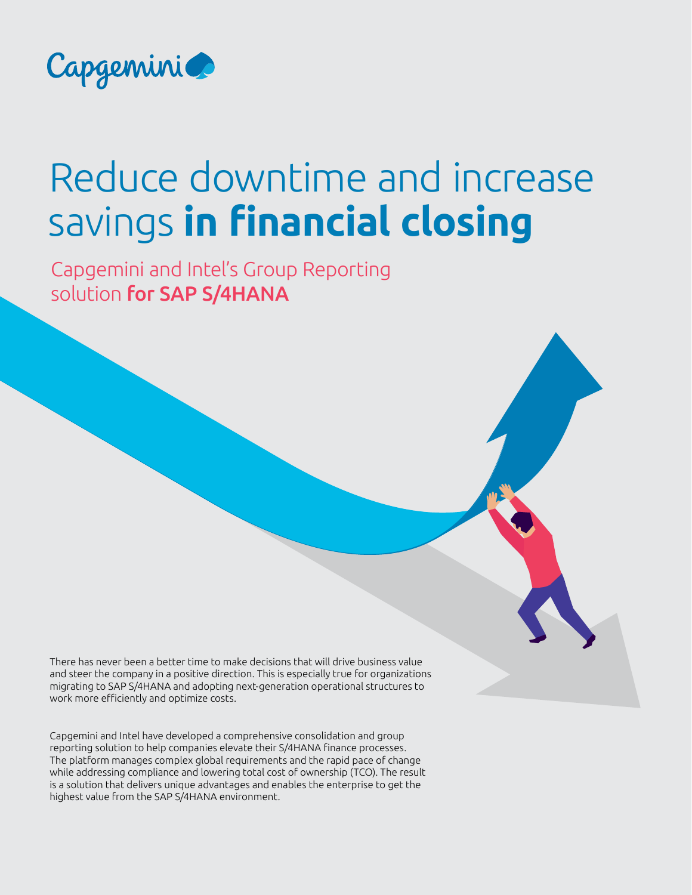

# Reduce downtime and increase savings **in financial closing**

Capgemini and Intel's Group Reporting solution for SAP S/4HANA

There has never been a better time to make decisions that will drive business value and steer the company in a positive direction. This is especially true for organizations migrating to SAP S/4HANA and adopting next-generation operational structures to work more efficiently and optimize costs.

Capgemini and Intel have developed a comprehensive consolidation and group reporting solution to help companies elevate their S/4HANA finance processes. The platform manages complex global requirements and the rapid pace of change while addressing compliance and lowering total cost of ownership (TCO). The result is a solution that delivers unique advantages and enables the enterprise to get the highest value from the SAP S/4HANA environment.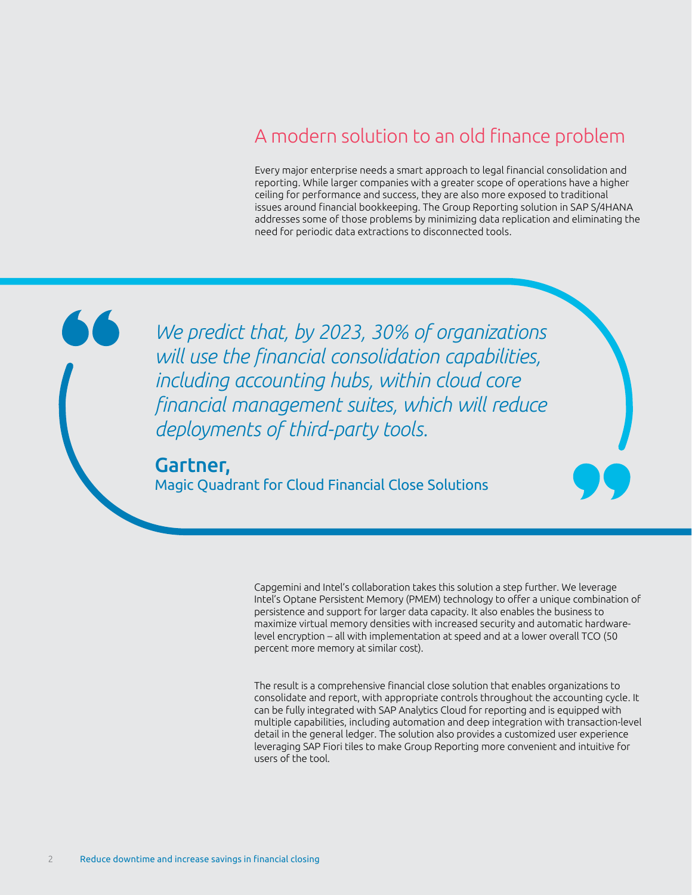## A modern solution to an old finance problem

Every major enterprise needs a smart approach to legal financial consolidation and reporting. While larger companies with a greater scope of operations have a higher ceiling for performance and success, they are also more exposed to traditional issues around financial bookkeeping. The Group Reporting solution in SAP S/4HANA addresses some of those problems by minimizing data replication and eliminating the need for periodic data extractions to disconnected tools.

*We predict that, by 2023, 30% of organizations will use the financial consolidation capabilities, including accounting hubs, within cloud core financial management suites, which will reduce deployments of third-party tools.*

#### Gartner,

Magic Quadrant for Cloud Financial Close Solutions

Capgemini and Intel's collaboration takes this solution a step further. We leverage Intel's Optane Persistent Memory (PMEM) technology to offer a unique combination of persistence and support for larger data capacity. It also enables the business to maximize virtual memory densities with increased security and automatic hardwarelevel encryption – all with implementation at speed and at a lower overall TCO (50 percent more memory at similar cost).

The result is a comprehensive financial close solution that enables organizations to consolidate and report, with appropriate controls throughout the accounting cycle. It can be fully integrated with SAP Analytics Cloud for reporting and is equipped with multiple capabilities, including automation and deep integration with transaction-level detail in the general ledger. The solution also provides a customized user experience leveraging SAP Fiori tiles to make Group Reporting more convenient and intuitive for users of the tool.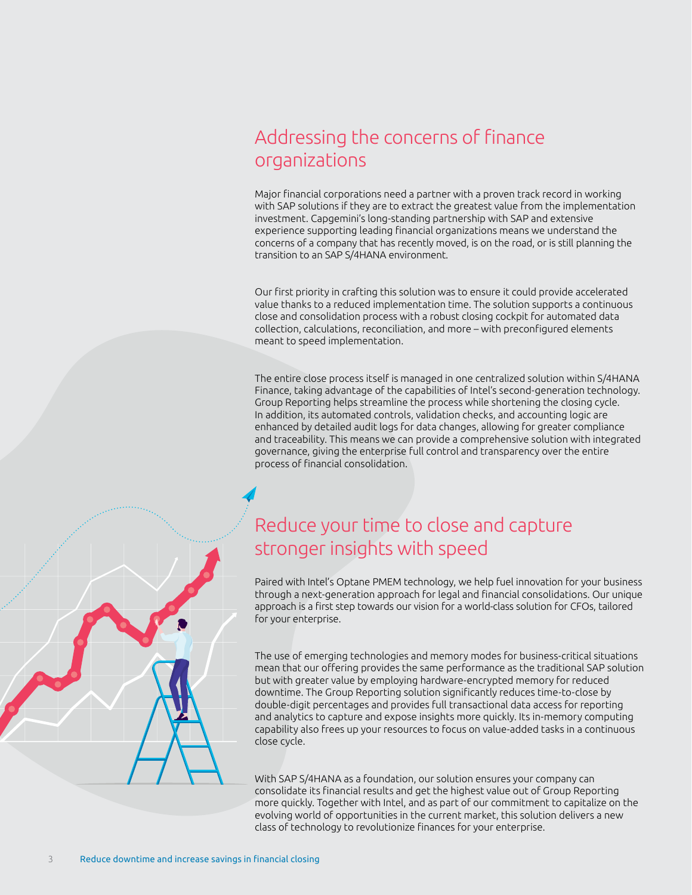## Addressing the concerns of finance organizations

Major financial corporations need a partner with a proven track record in working with SAP solutions if they are to extract the greatest value from the implementation investment. Capgemini's long-standing partnership with SAP and extensive experience supporting leading financial organizations means we understand the concerns of a company that has recently moved, is on the road, or is still planning the transition to an SAP S/4HANA environment.

Our first priority in crafting this solution was to ensure it could provide accelerated value thanks to a reduced implementation time. The solution supports a continuous close and consolidation process with a robust closing cockpit for automated data collection, calculations, reconciliation, and more – with preconfigured elements meant to speed implementation.

The entire close process itself is managed in one centralized solution within S/4HANA Finance, taking advantage of the capabilities of Intel's second-generation technology. Group Reporting helps streamline the process while shortening the closing cycle. In addition, its automated controls, validation checks, and accounting logic are enhanced by detailed audit logs for data changes, allowing for greater compliance and traceability. This means we can provide a comprehensive solution with integrated governance, giving the enterprise full control and transparency over the entire process of financial consolidation.

## Reduce your time to close and capture stronger insights with speed

Paired with Intel's Optane PMEM technology, we help fuel innovation for your business through a next-generation approach for legal and financial consolidations. Our unique approach is a first step towards our vision for a world-class solution for CFOs, tailored for your enterprise.

The use of emerging technologies and memory modes for business-critical situations mean that our offering provides the same performance as the traditional SAP solution but with greater value by employing hardware-encrypted memory for reduced downtime. The Group Reporting solution significantly reduces time-to-close by double-digit percentages and provides full transactional data access for reporting and analytics to capture and expose insights more quickly. Its in-memory computing capability also frees up your resources to focus on value-added tasks in a continuous close cycle.

With SAP S/4HANA as a foundation, our solution ensures your company can consolidate its financial results and get the highest value out of Group Reporting more quickly. Together with Intel, and as part of our commitment to capitalize on the evolving world of opportunities in the current market, this solution delivers a new class of technology to revolutionize finances for your enterprise.